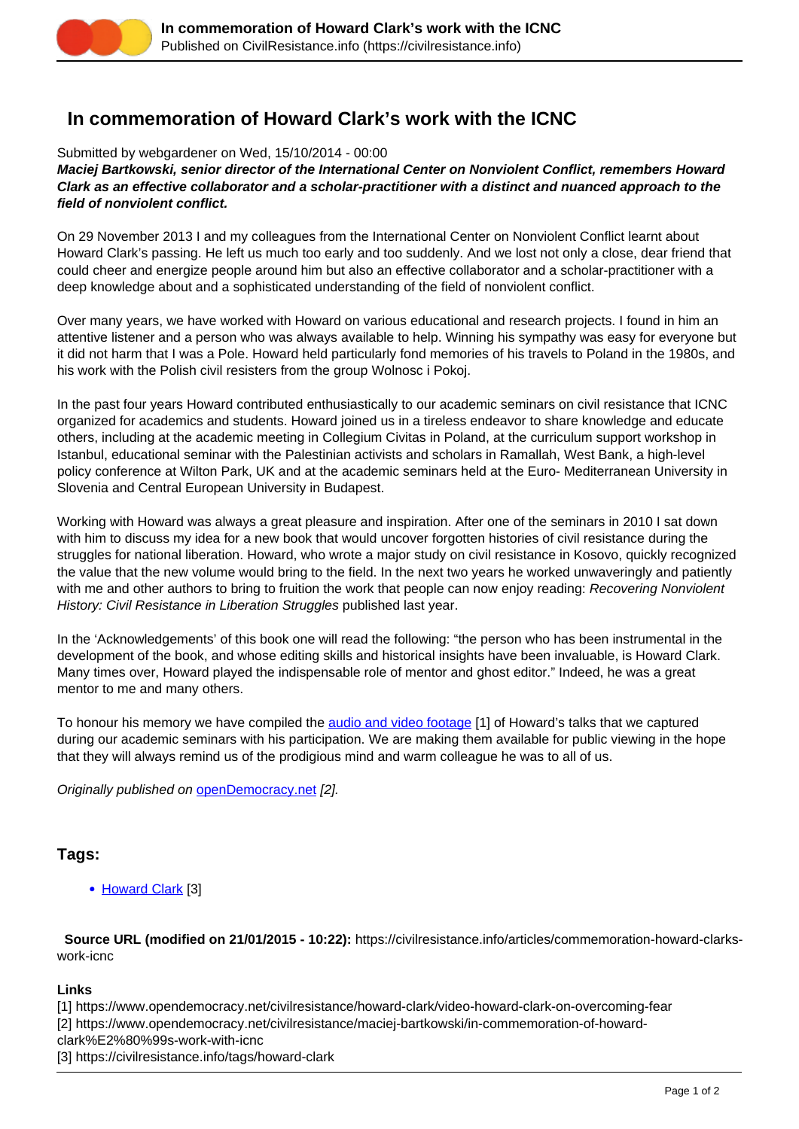

## **In commemoration of Howard Clark's work with the ICNC**

Submitted by webgardener on Wed, 15/10/2014 - 00:00

**Maciej Bartkowski, senior director of the International Center on Nonviolent Conflict, remembers Howard Clark as an effective collaborator and a scholar-practitioner with a distinct and nuanced approach to the field of nonviolent conflict.**

On 29 November 2013 I and my colleagues from the International Center on Nonviolent Conflict learnt about Howard Clark's passing. He left us much too early and too suddenly. And we lost not only a close, dear friend that could cheer and energize people around him but also an effective collaborator and a scholar-practitioner with a deep knowledge about and a sophisticated understanding of the field of nonviolent conflict.

Over many years, we have worked with Howard on various educational and research projects. I found in him an attentive listener and a person who was always available to help. Winning his sympathy was easy for everyone but it did not harm that I was a Pole. Howard held particularly fond memories of his travels to Poland in the 1980s, and his work with the Polish civil resisters from the group Wolnosc i Pokoj.

In the past four years Howard contributed enthusiastically to our academic seminars on civil resistance that ICNC organized for academics and students. Howard joined us in a tireless endeavor to share knowledge and educate others, including at the academic meeting in Collegium Civitas in Poland, at the curriculum support workshop in Istanbul, educational seminar with the Palestinian activists and scholars in Ramallah, West Bank, a high-level policy conference at Wilton Park, UK and at the academic seminars held at the Euro- Mediterranean University in Slovenia and Central European University in Budapest.

Working with Howard was always a great pleasure and inspiration. After one of the seminars in 2010 I sat down with him to discuss my idea for a new book that would uncover forgotten histories of civil resistance during the struggles for national liberation. Howard, who wrote a major study on civil resistance in Kosovo, quickly recognized the value that the new volume would bring to the field. In the next two years he worked unwaveringly and patiently with me and other authors to bring to fruition the work that people can now enjoy reading: Recovering Nonviolent History: Civil Resistance in Liberation Struggles published last year.

In the 'Acknowledgements' of this book one will read the following: "the person who has been instrumental in the development of the book, and whose editing skills and historical insights have been invaluable, is Howard Clark. Many times over, Howard played the indispensable role of mentor and ghost editor." Indeed, he was a great mentor to me and many others.

To honour his memory we have compiled the [audio and video footage](https://www.opendemocracy.net/civilresistance/howard-clark/video-howard-clark-on-overcoming-fear) [1] of Howard's talks that we captured during our academic seminars with his participation. We are making them available for public viewing in the hope that they will always remind us of the prodigious mind and warm colleague he was to all of us.

Originally published on [openDemocracy.net](https://www.opendemocracy.net/civilresistance/maciej-bartkowski/in-commemoration-of-howard-clark%E2%80%99s-work-with-icnc) [2].

## **Tags:**

• [Howard Clark](https://civilresistance.info/tags/howard-clark) [3]

 **Source URL (modified on 21/01/2015 - 10:22):** https://civilresistance.info/articles/commemoration-howard-clarkswork-icnc

## **Links**

[1] https://www.opendemocracy.net/civilresistance/howard-clark/video-howard-clark-on-overcoming-fear

[2] https://www.opendemocracy.net/civilresistance/maciej-bartkowski/in-commemoration-of-howard-

- clark%E2%80%99s-work-with-icnc
- [3] https://civilresistance.info/tags/howard-clark